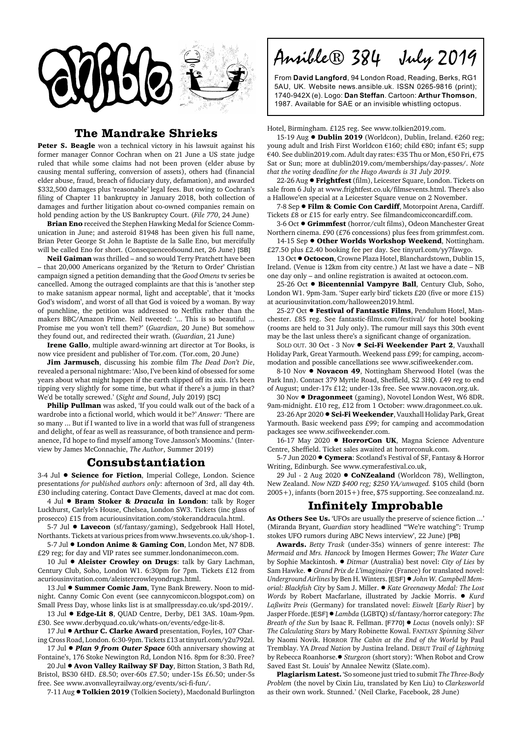

## **The Mandrake Shrieks**

Peter S. Beagle won a technical victory in his lawsuit against his former manager Connor Cochran when on 21 June a US state judge ruled that while some claims had not been proven (elder abuse by causing mental suffering, conversion of assets), others had (financial elder abuse, fraud, breach of fiduciary duty, defamation), and awarded \$332,500 damages plus 'reasonable' legal fees. But owing to Cochran's filing of Chapter 11 bankruptcy in January 2018, both collection of damages and further litigation about co-owned companies remain on hold pending action by the US Bankruptcy Court. (*File 770*, 24 June)

**Brian Eno** received the Stephen Hawking Medal for Science Communication in June; and asteroid 81948 has been given his full name, Brian Peter George St John le Baptiste de la Salle Eno, but mercifully will be called Eno for short. (Consequenceofsound.net, 26 June) [SB]

**Neil Gaiman** was thrilled – and so would Terry Pratchett have been – that 20,000 Americans organized by the 'Return to Order' Christian campaign signed a petition demanding that the *Good Omens* tv series be cancelled. Among the outraged complaints are that this is 'another step to make satanism appear normal, light and acceptable', that it 'mocks God's wisdom', and worst of all that God is voiced by a woman. By way of punchline, the petition was addressed to Netflix rather than the makers BBC/Amazon Prime. Neil tweeted: '... This is so beautiful ... Promise me you won't tell them?' (*Guardian*, 20 June) But somehow they found out, and redirected their wrath. (*Guardian*, 21 June)

**Irene Gallo**, multiple award-winning art director at Tor Books, is now vice president and publisher of Tor.com. (Tor.com, 20 June)

**Jim Jarmusch**, discussing his zombie film *The Dead Don't Die*, revealed a personal nightmare: 'Also, I've been kind of obsessed for some years about what might happen if the earth slipped off its axis. It's been tipping very slightly for some time, but what if there's a jump in that? We'd be totally screwed.' (*Sight and Sound*, July 2019) [SC]

**Philip Pullman** was asked, 'If you could walk out of the back of a wardrobe into a fictional world, which would it be?' *Answer:* 'There are so many ... But if I wanted to live in a world that was full of strangeness and delight, of fear as well as reassurance, of both transience and permanence, I'd hope to find myself among Tove Jansson's Moomins.' (Interview by James McConnachie, *The Author*, Summer 2019)

## **Consubstantiation**

3-4 Jul  $\bullet$  **Science for Fiction**, Imperial College, London. Science presentations *for published authors only*: afternoon of 3rd, all day 4th. £30 including catering. Contact Dave Clements, davecl at mac dot com.

4 Jul ! **Bram Stoker &** *Dracula* **in London**: talk by Roger Luckhurst, Carlyle's House, Chelsea, London SW3. Tickets (inc glass of prosecco) £15 from acuriousinvitation.com/stokeranddracula.html.

5-7 Jul  $\bullet$  Lavecon (sf/fantasy/gaming), Sedgebrook Hall Hotel, Northants. Tickets at various prices from www.hwsevents.co.uk/shop-1.

5-7 Jul  $\bullet$  London Anime & Gaming Con, London Met, N7 8DB. £29 reg; for day and VIP rates see summer.londonanimecon.com.

10 Jul  $\bullet$  **Aleister Crowley on Drugs**: talk by Gary Lachman, Century Club, Soho, London W1. 6:30pm for 7pm. Tickets £12 from acuriousinvitation.com/aleistercrowleyondrugs.html.

13 Jul  $\bullet$  **Summer Comic Jam**, Tyne Bank Brewery. Noon to midnight. Canny Comic Con event (see cannycomiccon.blogspot.com) on Small Press Day, whose links list is at smallpressday.co.uk/spd-2019/.

13 Jul  $\bullet$  **Edge-Lit 8**, QUAD Centre, Derby, DE1 3AS. 10am-9pm. £30. See www.derbyquad.co.uk/whats-on/events/edge-lit-8.

17 Jul  $\bullet$  Arthur C. Clarke Award presentation, Foyles, 107 Charing Cross Road, London. 6:30-9pm. Tickets £13 at tinyurl.com/y2u792zl.

17 Jul **· Plan 9 from Outer Space** 60th anniversary showing at Fontaine's, 176 Stoke Newington Rd, London N16. 8pm for 8:30. Free?

20 Jul ! **Avon Valley Railway SF Day**, Bitton Station, 3 Bath Rd, Bristol, BS30 6HD. £8.50; over-60s £7.50; under-15s £6.50; under-5s free. See www.avonvalleyrailway.org/events/sci-fi-fun/.

7-11 Aug <sup>·</sup> Tolkien 2019 (Tolkien Society), Macdonald Burlington

Ansible® 384 July 2019

From **David Langford**, 94 London Road, Reading, Berks, RG1 5AU, UK. Website news.ansible.uk. ISSN 0265-9816 (print); 1740-942X (e). Logo: **Dan Steffan**. Cartoon: **Arthur Thomson**, 1987. Available for SAE or an invisible whistling octopus.

## Hotel, Birmingham. £125 reg. See www.tolkien2019.com.

15-19 Aug ● Dublin 2019 (Worldcon), Dublin, Ireland. €260 reg; young adult and Irish First Worldcon €160; child €80; infant €5; supp €40. See dublin2019.com. Adult day rates: €35 Thu or Mon, €50 Fri, €75 Sat or Sun; more at dublin2019.com/memberships/day-passes/. *Note that the voting deadline for the Hugo Awards is 31 July 2019.*

22-26 Aug ! **Frightfest** (film), Leicester Square, London. Tickets on sale from 6 July at www.frightfest.co.uk/filmsevents.html. There's also a Hallowe'en special at a Leicester Square venue on 2 November.

7-8 Sep ! **Film & Comic Con Cardiff**, Motorpoint Arena, Cardiff. Tickets £8 or £15 for early entry. See filmandcomicconcardiff.com.

3-6 Oct ● Grimmfest (horror/cult films), Odeon Manchester Great Northern cinema. £90 (£76 concessions) plus fees from grimmfest.com.

14-15 Sep  $\bullet$  Other Worlds Workshop Weekend, Nottingham. £27.50 plus £2.40 booking fee per day. See tinyurl.com/yy7fawgo.

13 Oct  $\bullet$  Octocon, Crowne Plaza Hotel, Blanchardstown, Dublin 15, Ireland. (Venue is 12km from city centre.) At last we have a date – NB one day only – and online registration is awaited at octocon.com.

25-26 Oct  $\bullet$  **Bicentennial Vampyre Ball**, Century Club, Soho, London W1. 9pm-3am. 'Super early bird' tickets £20 (five or more £15) at acuriousinvitation.com/halloween2019.html.

25-27 Oct  $\bullet$  Festival of Fantastic Films, Pendulum Hotel, Manchester. £85 reg. See fantastic-films.com/festival/ for hotel booking (rooms are held to 31 July only). The rumour mill says this 30th event may be the last unless there's a significant change of organization.

SOLD OUT. 30 Oct - 3 Nov ! **Sci-Fi Weekender Part 2**, Vauxhall Holiday Park, Great Yarmouth. Weekend pass £99; for camping, accommodation and possible cancellations see www.scifiweekender.com.

8-10 Nov  $\bullet$  **Novacon 49**, Nottingham Sherwood Hotel (was the Park Inn). Contact 379 Myrtle Road, Sheffield, S2 3HQ. £49 reg to end of August; under-17s £12; under-13s free. See www.novacon.org.uk.

30 Nov ! **Dragonmeet** (gaming), Novotel London West, W6 8DR. 9am-midnight. £10 reg, £12 from 1 October: www.dragonmeet.co.uk.

23-26 Apr 2020 . **Sci-Fi Weekender**, Vauxhall Holiday Park, Great Yarmouth. Basic weekend pass £99; for camping and accommodation packages see www.scifiweekender.com.

16-17 May 2020 **• HorrorCon UK**, Magna Science Adventure Centre, Sheffield. Ticket sales awaited at horrorconuk.com.

5-7 Jun 2020 ! **Cymera**: Scotland's Festival of SF, Fantasy & Horror Writing, Edinburgh. See www.cymerafestival.co.uk,

29 Jul - 2 Aug 2020 ! **CoNZealand** (Worldcon 78), Wellington, New Zealand. *Now NZD \$400 reg; \$250 YA/unwaged.* \$105 child (born 2005+), infants (born 2015+) free, \$75 supporting. See conzealand.nz.

## **Infinitely Improbable**

**As Others See Us.** 'UFOs are usually the preserve of science fiction ...' (Miranda Bryant, *Guardian* story headlined '"We're watching": Trump stokes UFO rumors during ABC News interview', 22 June) [PB]

**Awards.** *Betty Trask* (under-35s) winners of genre interest: *The Mermaid and Mrs. Hancock* by Imogen Hermes Gower; *The Water Cure* by Sophie Mackintosh. ! *Ditmar* (Australia) best novel: *City of Lies* by Sam Hawke. ● *Grand Prix de L'imaginaire* (France) for translated novel: *Underground Airlines* by Ben H. Winters. [ESF] ! *John W. Campbell Memorial: Blackfish City* by Sam J. Miller. ! *Kate Greenaway Medal: The Lost Words* by Robert Macfarlane, illustrated by Jackie Morris. ! *Kurd Laßwitz Preis* (Germany) for translated novel: *Eiswelt* [*Early Riser*] by Jasper Fforde. [ESF]!*Lambda* (LGBTQ) sf/fantasy/horror category: *The Breath of the Sun by Isaac R. Fellman.* [F770] ● *Locus* (novels only): SF *The Calculating Stars* by Mary Robinette Kowal. FANTASY *Spinning Silver* by Naomi Novik. HORROR *The Cabin at the End of the World* by Paul Tremblay. YA *Dread Nation* by Justina Ireland. DEBUT *Trail of Lightning* by Rebecca Roanhorse.! *Sturgeon* (short story): 'When Robot and Crow Saved East St. Louis' by Annalee Newitz (Slate.com).

**Plagiarism Latest.** 'So someone just tried to submit *The Three-Body Problem* (the novel by Cixin Liu, translated by Ken Liu) to *Clarkesworld* as their own work. Stunned.' (Neil Clarke, Facebook, 28 June)